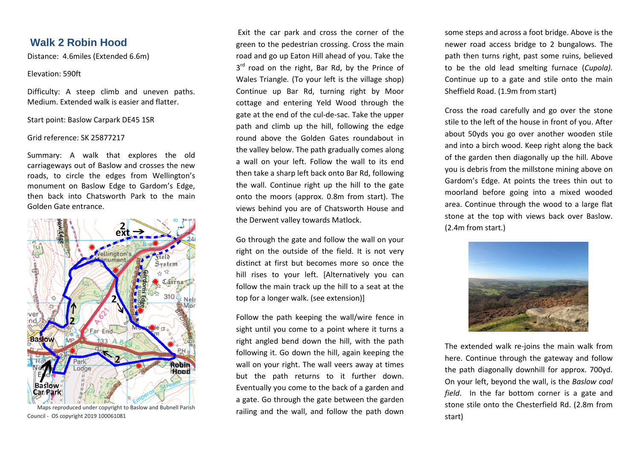# **Walk 2 Robin Hood**

Distance: 4.6miles (Extended 6.6m)

## Elevation: 590ft

Difficulty: A steep climb and uneven paths. Medium. Extended walk is easier and flatter.

Start point: Baslow Carpark DE45 1SR

### Grid reference: SK 25877217

Summary: A walk that explores the old carriageways out of Baslow and crosses the new roads, to circle the edges from Wellington's monument on Baslow Edge to Gardom's Edge, then back into Chatsworth Park to the main Golden Gate entrance.



 Maps reproduced under copyright to Baslow and Bubnell Parish Council - OS copyright 2019 100061081

Exit the car park and cross the corner of the green to the pedestrian crossing. Cross the main road and go up Eaton Hill ahead of you. Take the 3<sup>rd</sup> road on the right, Bar Rd, by the Prince of Wales Triangle*.* (To your left is the village shop) Continue up Bar Rd, turning right by Moor cottage and entering Yeld Wood through the gate at the end of the cul-de-sac. Take the upper path and climb up the hill, following the edge round above the Golden Gates roundabout in the valley below. The path gradually comes along a wall on your left. Follow the wall to its end then take a sharp left back onto Bar Rd, following the wall. Continue right up the hill to the gate onto the moors (approx. 0.8m from start). The views behind you are of Chatsworth House and the Derwent valley towards Matlock.

Go through the gate and follow the wall on your right on the outside of the field. It is not very distinct at first but becomes more so once the hill rises to your left. [Alternatively you can follow the main track up the hill to a seat at the top for a longer walk. (see extension)]

Follow the path keeping the wall/wire fence in sight until you come to a point where it turns a right angled bend down the hill, with the path following it. Go down the hill, again keeping the wall on your right. The wall veers away at times but the path returns to it further down. Eventually you come to the back of a garden and a gate. Go through the gate between the garden railing and the wall, and follow the path down

some steps and across a foot bridge. Above is the newer road access bridge to 2 bungalows*.* The path then turns right, past some ruins, believed to be the old lead smelting furnace (*Cupola).*  Continue up to a gate and stile onto the main Sheffield Road. (1.9m from start)

Cross the road carefully and go over the stone stile to the left of the house in front of you. After about 50yds you go over another wooden stile and into a birch wood. Keep right along the back of the garden then diagonally up the hill. Above you is debris from the millstone mining above on Gardom's Edge. At points the trees thin out to moorland before going into a mixed wooded area. Continue through the wood to a large flat stone at the top with views back over Baslow. (2.4m from start.)



The extended walk re-joins the main walk from here. Continue through the gateway and follow the path diagonally downhill for approx. 700yd. On your left, beyond the wall, is the *Baslow coal field*. In the far bottom corner is a gate and stone stile onto the Chesterfield Rd. (2.8m from start)